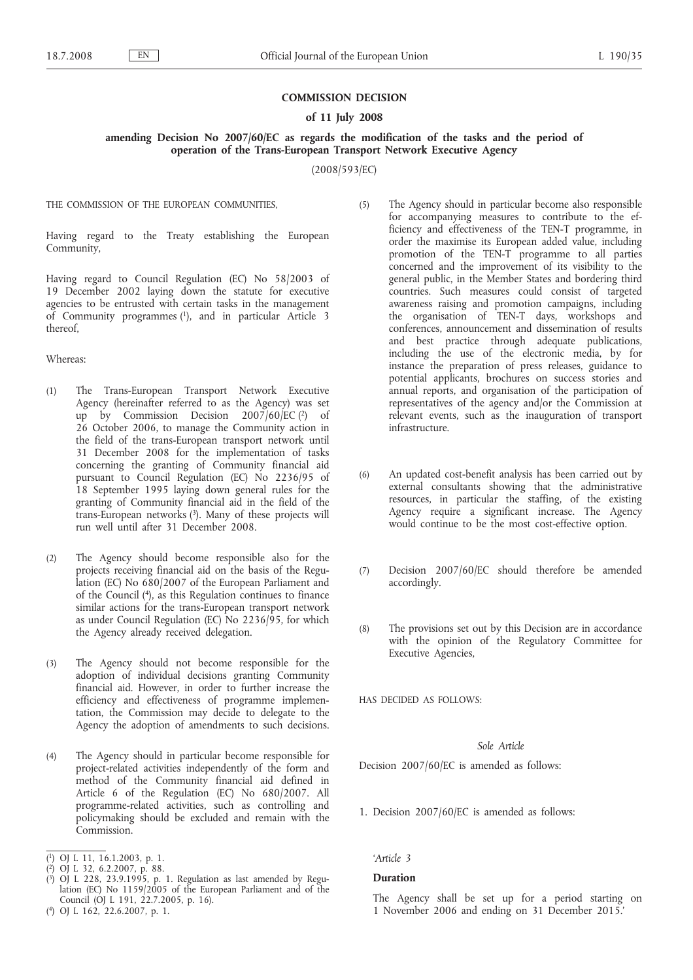### **COMMISSION DECISION**

## **of 11 July 2008**

**amending Decision No 2007/60/EC as regards the modification of the tasks and the period of operation of the Trans-European Transport Network Executive Agency**

(2008/593/EC)

THE COMMISSION OF THE EUROPEAN COMMUNITIES,

Having regard to the Treaty establishing the European Community,

Having regard to Council Regulation (EC) No 58/2003 of 19 December 2002 laying down the statute for executive agencies to be entrusted with certain tasks in the management of Community programmes (1), and in particular Article 3 thereof,

#### Whereas:

- (1) The Trans-European Transport Network Executive Agency (hereinafter referred to as the Agency) was set up by Commission Decision  $2007/60$ /EC  $(2)$  of 26 October 2006, to manage the Community action in the field of the trans-European transport network until 31 December 2008 for the implementation of tasks concerning the granting of Community financial aid pursuant to Council Regulation (EC) No 2236/95 of 18 September 1995 laying down general rules for the granting of Community financial aid in the field of the trans-European networks (3). Many of these projects will run well until after 31 December 2008.
- (2) The Agency should become responsible also for the projects receiving financial aid on the basis of the Regulation (EC) No 680/2007 of the European Parliament and of the Council (4), as this Regulation continues to finance similar actions for the trans-European transport network as under Council Regulation (EC) No  $2236/95$ , for which the Agency already received delegation.
- (3) The Agency should not become responsible for the adoption of individual decisions granting Community financial aid. However, in order to further increase the efficiency and effectiveness of programme implementation, the Commission may decide to delegate to the Agency the adoption of amendments to such decisions.
- (4) The Agency should in particular become responsible for project-related activities independently of the form and method of the Community financial aid defined in Article 6 of the Regulation (EC) No 680/2007. All programme-related activities, such as controlling and policymaking should be excluded and remain with the Commission.
- ( 1) OJ L 11, 16.1.2003, p. 1.
- ( 2) OJ L 32, 6.2.2007, p. 88.
- ( 3) OJ L 228, 23.9.1995, p. 1. Regulation as last amended by Regulation (EC) No 1159/2005 of the European Parliament and of the Council (OJ L 191, 22.7.2005, p. 16).
- (5) The Agency should in particular become also responsible for accompanying measures to contribute to the efficiency and effectiveness of the TEN-T programme, in order the maximise its European added value, including promotion of the TEN-T programme to all parties concerned and the improvement of its visibility to the general public, in the Member States and bordering third countries. Such measures could consist of targeted awareness raising and promotion campaigns, including the organisation of TEN-T days, workshops and conferences, announcement and dissemination of results and best practice through adequate publications, including the use of the electronic media, by for instance the preparation of press releases, guidance to potential applicants, brochures on success stories and annual reports, and organisation of the participation of representatives of the agency and/or the Commission at relevant events, such as the inauguration of transport infrastructure.
- (6) An updated cost-benefit analysis has been carried out by external consultants showing that the administrative resources, in particular the staffing, of the existing Agency require a significant increase. The Agency would continue to be the most cost-effective option.
- (7) Decision 2007/60/EC should therefore be amended accordingly.
- (8) The provisions set out by this Decision are in accordance with the opinion of the Regulatory Committee for Executive Agencies,

HAS DECIDED AS FOLLOWS:

# *Sole Article*

Decision 2007/60/EC is amended as follows:

1. Decision 2007/60/EC is amended as follows:

*'Article 3*

## **Duration**

The Agency shall be set up for a period starting on 1 November 2006 and ending on 31 December 2015.'

<sup>(</sup> 4) OJ L 162, 22.6.2007, p. 1.